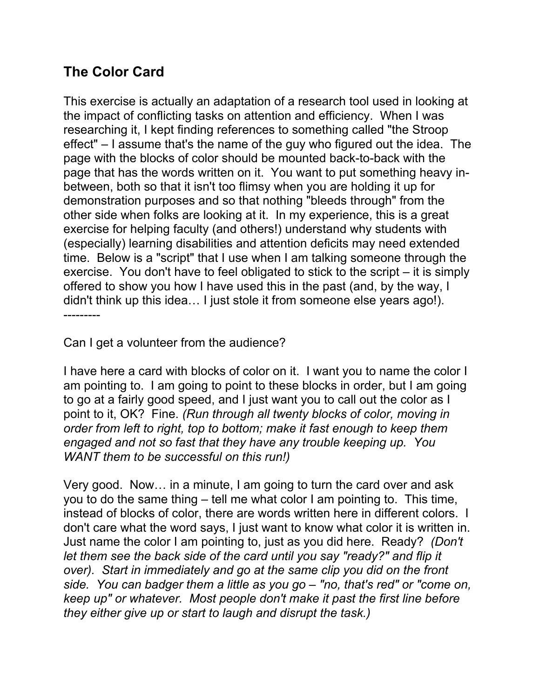## **The Color Card**

This exercise is actually an adaptation of a research tool used in looking at the impact of conflicting tasks on attention and efficiency. When I was researching it, I kept finding references to something called "the Stroop effect" – I assume that's the name of the guy who figured out the idea. The page with the blocks of color should be mounted back-to-back with the page that has the words written on it. You want to put something heavy inbetween, both so that it isn't too flimsy when you are holding it up for demonstration purposes and so that nothing "bleeds through" from the other side when folks are looking at it. In my experience, this is a great exercise for helping faculty (and others!) understand why students with (especially) learning disabilities and attention deficits may need extended time. Below is a "script" that I use when I am talking someone through the exercise. You don't have to feel obligated to stick to the script – it is simply offered to show you how I have used this in the past (and, by the way, I didn't think up this idea… I just stole it from someone else years ago!). ---------

Can I get a volunteer from the audience?

I have here a card with blocks of color on it. I want you to name the color I am pointing to. I am going to point to these blocks in order, but I am going to go at a fairly good speed, and I just want you to call out the color as I point to it, OK? Fine. *(Run through all twenty blocks of color, moving in order from left to right, top to bottom; make it fast enough to keep them engaged and not so fast that they have any trouble keeping up. You WANT them to be successful on this run!)*

Very good. Now… in a minute, I am going to turn the card over and ask you to do the same thing – tell me what color I am pointing to. This time, instead of blocks of color, there are words written here in different colors. I don't care what the word says, I just want to know what color it is written in. Just name the color I am pointing to, just as you did here. Ready? *(Don't let them see the back side of the card until you say "ready?" and flip it over). Start in immediately and go at the same clip you did on the front side. You can badger them a little as you go – "no, that's red" or "come on, keep up" or whatever. Most people don't make it past the first line before they either give up or start to laugh and disrupt the task.)*